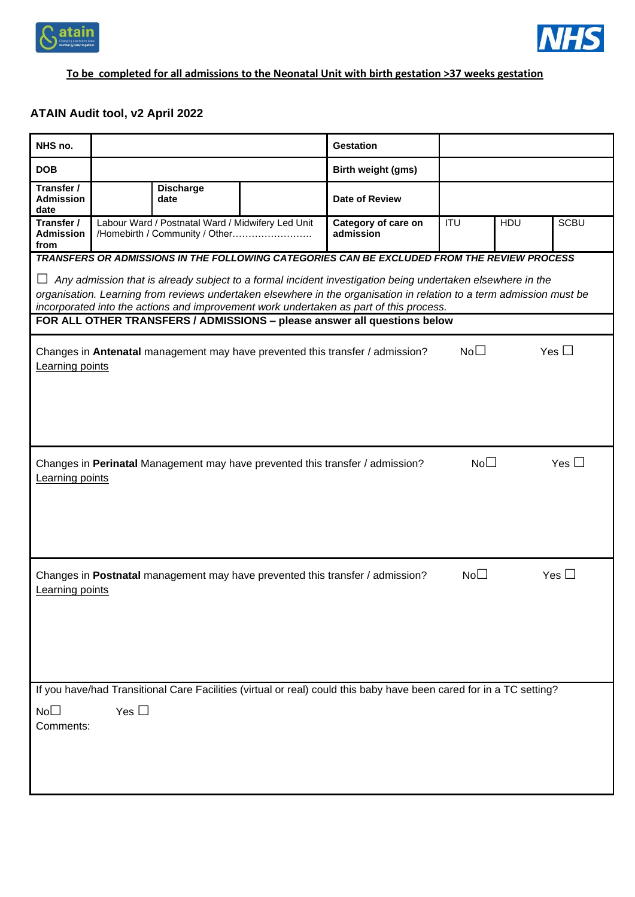



## **To be completed for all admissions to the Neonatal Unit with birth gestation >37 weeks gestation**

## **ATAIN Audit tool, v2 April 2022**

| NHS no.                                                                                                                                                                                                        |            |                                                                                     |                    | <b>Gestation</b>                                                              |                  |     |               |
|----------------------------------------------------------------------------------------------------------------------------------------------------------------------------------------------------------------|------------|-------------------------------------------------------------------------------------|--------------------|-------------------------------------------------------------------------------|------------------|-----|---------------|
| <b>DOB</b>                                                                                                                                                                                                     |            |                                                                                     | Birth weight (gms) |                                                                               |                  |     |               |
| Transfer /<br><b>Admission</b><br>date                                                                                                                                                                         |            | <b>Discharge</b><br>date                                                            |                    | Date of Review                                                                |                  |     |               |
| Transfer /<br><b>Admission</b><br>from                                                                                                                                                                         |            | Labour Ward / Postnatal Ward / Midwifery Led Unit<br>/Homebirth / Community / Other |                    | Category of care on<br>admission                                              | $\overline{ITU}$ | HDU | <b>SCBU</b>   |
| TRANSFERS OR ADMISSIONS IN THE FOLLOWING CATEGORIES CAN BE EXCLUDED FROM THE REVIEW PROCESS<br>Any admission that is already subject to a formal incident investigation being undertaken elsewhere in the<br>ப |            |                                                                                     |                    |                                                                               |                  |     |               |
| organisation. Learning from reviews undertaken elsewhere in the organisation in relation to a term admission must be<br>incorporated into the actions and improvement work undertaken as part of this process. |            |                                                                                     |                    |                                                                               |                  |     |               |
| FOR ALL OTHER TRANSFERS / ADMISSIONS - please answer all questions below                                                                                                                                       |            |                                                                                     |                    |                                                                               |                  |     |               |
| Learning points                                                                                                                                                                                                |            |                                                                                     |                    | Changes in Antenatal management may have prevented this transfer / admission? | No <sub>1</sub>  |     | Yes $\Box$    |
|                                                                                                                                                                                                                |            |                                                                                     |                    |                                                                               |                  |     |               |
| Learning points                                                                                                                                                                                                |            |                                                                                     |                    | Changes in Perinatal Management may have prevented this transfer / admission? | No <sub>1</sub>  |     | Yes $\Box$    |
|                                                                                                                                                                                                                |            |                                                                                     |                    |                                                                               |                  |     |               |
| Learning points                                                                                                                                                                                                |            |                                                                                     |                    | Changes in Postnatal management may have prevented this transfer / admission? | No <sub>1</sub>  |     | Yes $\square$ |
|                                                                                                                                                                                                                |            |                                                                                     |                    |                                                                               |                  |     |               |
| If you have/had Transitional Care Facilities (virtual or real) could this baby have been cared for in a TC setting?                                                                                            |            |                                                                                     |                    |                                                                               |                  |     |               |
| $No\square$<br>Comments:                                                                                                                                                                                       | Yes $\Box$ |                                                                                     |                    |                                                                               |                  |     |               |
|                                                                                                                                                                                                                |            |                                                                                     |                    |                                                                               |                  |     |               |